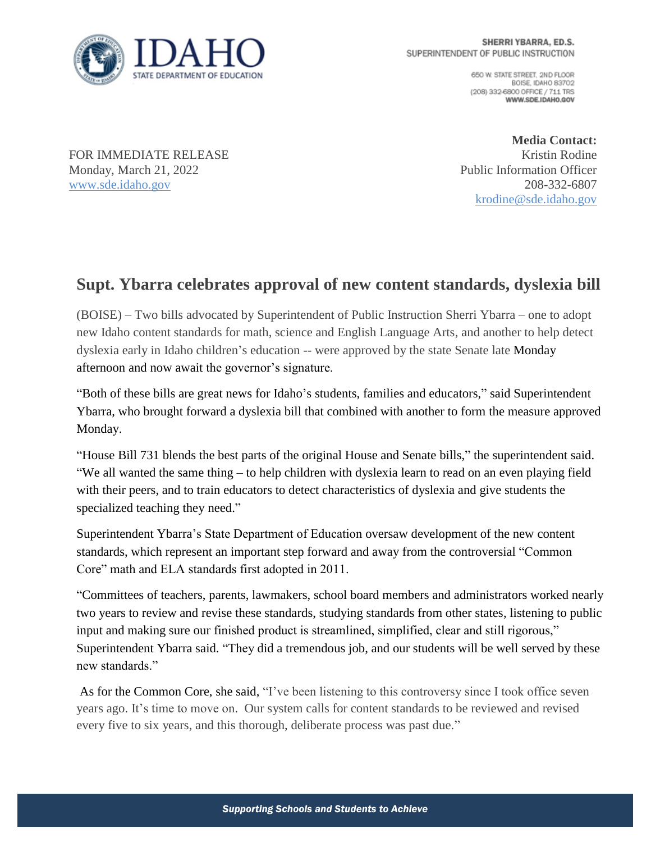

650 W. STATE STREET, 2ND FLOOR BOISE IDAHO 83702 (208) 332-6800 OFFICE / 711 TRS WWW.SDE.IDAHO.GOV

FOR IMMEDIATE RELEASE Monday, March 21, 2022 [www.sde.idaho.gov](http://www.sde.idaho.gov/)

**Media Contact:** Kristin Rodine Public Information Officer 208-332-6807 [krodine@sde.idaho.gov](mailto:krodine@sde.idaho.gov)

## **Supt. Ybarra celebrates approval of new content standards, dyslexia bill**

(BOISE) – Two bills advocated by Superintendent of Public Instruction Sherri Ybarra – one to adopt new Idaho content standards for math, science and English Language Arts, and another to help detect dyslexia early in Idaho children's education -- were approved by the state Senate late Monday afternoon and now await the governor's signature.

"Both of these bills are great news for Idaho's students, families and educators," said Superintendent Ybarra, who brought forward a dyslexia bill that combined with another to form the measure approved Monday.

"House Bill 731 blends the best parts of the original House and Senate bills," the superintendent said. "We all wanted the same thing – to help children with dyslexia learn to read on an even playing field with their peers, and to train educators to detect characteristics of dyslexia and give students the specialized teaching they need."

Superintendent Ybarra's State Department of Education oversaw development of the new content standards, which represent an important step forward and away from the controversial "Common Core" math and ELA standards first adopted in 2011.

"Committees of teachers, parents, lawmakers, school board members and administrators worked nearly two years to review and revise these standards, studying standards from other states, listening to public input and making sure our finished product is streamlined, simplified, clear and still rigorous," Superintendent Ybarra said. "They did a tremendous job, and our students will be well served by these new standards."

As for the Common Core, she said, "I've been listening to this controversy since I took office seven years ago. It's time to move on. Our system calls for content standards to be reviewed and revised every five to six years, and this thorough, deliberate process was past due."